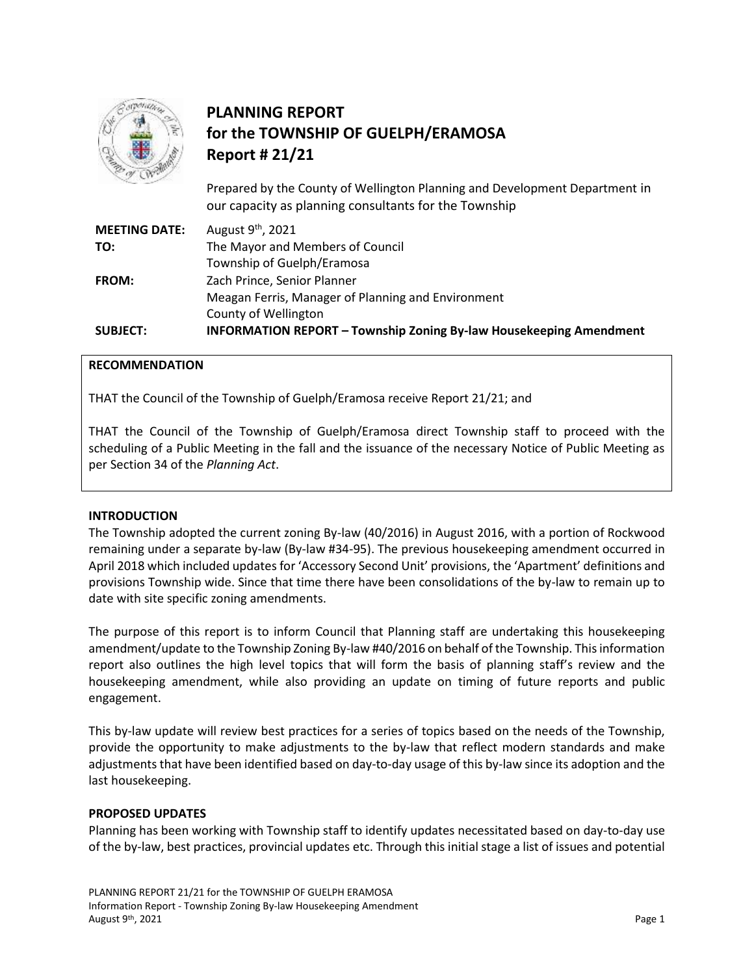

# **PLANNING REPORT for the TOWNSHIP OF GUELPH/ERAMOSA Report # 21/21**

Prepared by the County of Wellington Planning and Development Department in our capacity as planning consultants for the Township

| <b>SUBJECT:</b>      | <b>INFORMATION REPORT - Township Zoning By-law Housekeeping Amendment</b> |
|----------------------|---------------------------------------------------------------------------|
|                      | County of Wellington                                                      |
|                      | Meagan Ferris, Manager of Planning and Environment                        |
| <b>FROM:</b>         | Zach Prince, Senior Planner                                               |
|                      | Township of Guelph/Eramosa                                                |
| TO:                  | The Mayor and Members of Council                                          |
| <b>MEETING DATE:</b> | August 9 <sup>th</sup> , 2021                                             |

## **RECOMMENDATION**

THAT the Council of the Township of Guelph/Eramosa receive Report 21/21; and

THAT the Council of the Township of Guelph/Eramosa direct Township staff to proceed with the scheduling of a Public Meeting in the fall and the issuance of the necessary Notice of Public Meeting as per Section 34 of the *Planning Act*.

### **INTRODUCTION**

The Township adopted the current zoning By-law (40/2016) in August 2016, with a portion of Rockwood remaining under a separate by-law (By-law #34-95). The previous housekeeping amendment occurred in April 2018 which included updates for 'Accessory Second Unit' provisions, the 'Apartment' definitions and provisions Township wide. Since that time there have been consolidations of the by-law to remain up to date with site specific zoning amendments.

The purpose of this report is to inform Council that Planning staff are undertaking this housekeeping amendment/update to the Township Zoning By-law #40/2016 on behalf of the Township. This information report also outlines the high level topics that will form the basis of planning staff's review and the housekeeping amendment, while also providing an update on timing of future reports and public engagement.

This by-law update will review best practices for a series of topics based on the needs of the Township, provide the opportunity to make adjustments to the by-law that reflect modern standards and make adjustments that have been identified based on day-to-day usage of this by-law since its adoption and the last housekeeping.

### **PROPOSED UPDATES**

Planning has been working with Township staff to identify updates necessitated based on day-to-day use of the by-law, best practices, provincial updates etc. Through this initial stage a list of issues and potential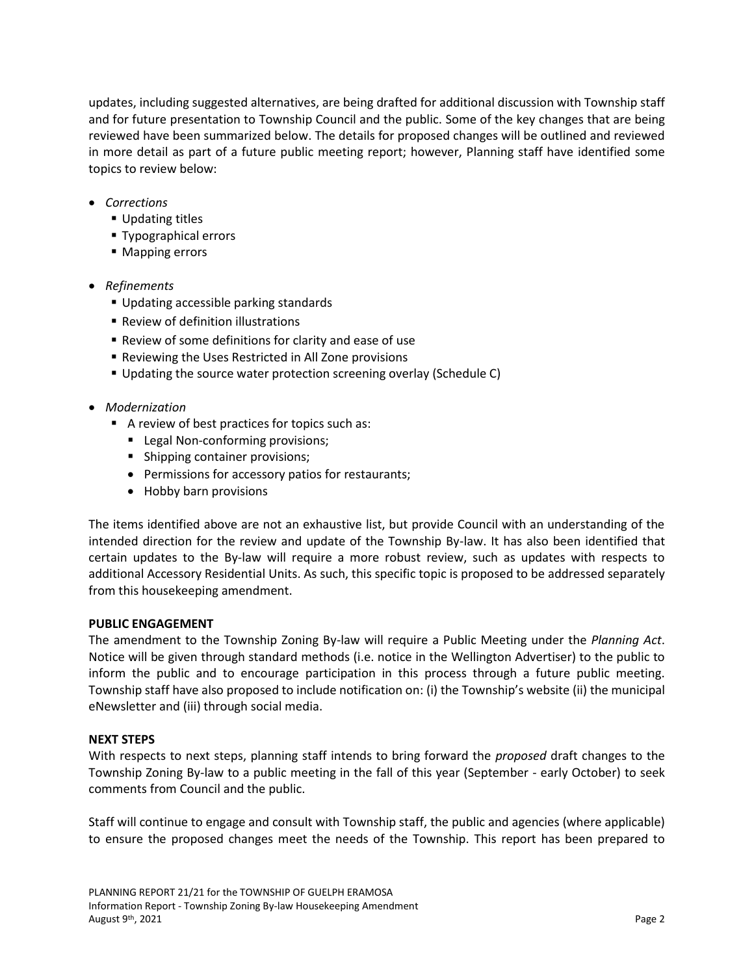updates, including suggested alternatives, are being drafted for additional discussion with Township staff and for future presentation to Township Council and the public. Some of the key changes that are being reviewed have been summarized below. The details for proposed changes will be outlined and reviewed in more detail as part of a future public meeting report; however, Planning staff have identified some topics to review below:

- *Corrections*
	- **Updating titles**
	- Typographical errors
	- Mapping errors
- *Refinements* 
	- Updating accessible parking standards
	- **Review of definition illustrations**
	- Review of some definitions for clarity and ease of use
	- Reviewing the Uses Restricted in All Zone provisions
	- Updating the source water protection screening overlay (Schedule C)
- *Modernization*
	- A review of best practices for topics such as:
		- **Legal Non-conforming provisions;**
		- Shipping container provisions;
		- Permissions for accessory patios for restaurants;
		- Hobby barn provisions

The items identified above are not an exhaustive list, but provide Council with an understanding of the intended direction for the review and update of the Township By-law. It has also been identified that certain updates to the By-law will require a more robust review, such as updates with respects to additional Accessory Residential Units. As such, this specific topic is proposed to be addressed separately from this housekeeping amendment.

### **PUBLIC ENGAGEMENT**

The amendment to the Township Zoning By-law will require a Public Meeting under the *Planning Act*. Notice will be given through standard methods (i.e. notice in the Wellington Advertiser) to the public to inform the public and to encourage participation in this process through a future public meeting. Township staff have also proposed to include notification on: (i) the Township's website (ii) the municipal eNewsletter and (iii) through social media.

### **NEXT STEPS**

With respects to next steps, planning staff intends to bring forward the *proposed* draft changes to the Township Zoning By-law to a public meeting in the fall of this year (September - early October) to seek comments from Council and the public.

Staff will continue to engage and consult with Township staff, the public and agencies (where applicable) to ensure the proposed changes meet the needs of the Township. This report has been prepared to